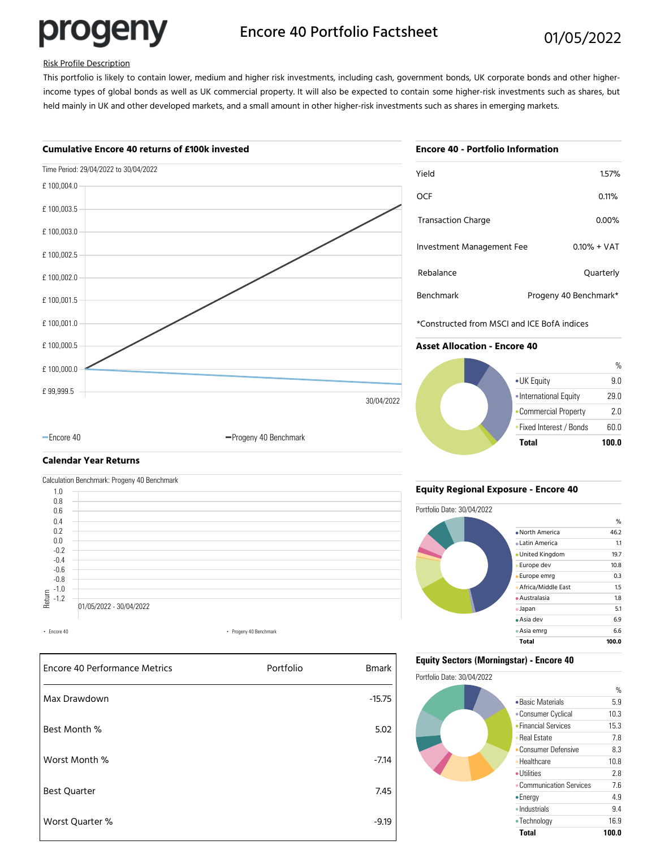

# Encore 40 Portfolio Factsheet 01/05/2022

# Risk Profile Description

This portfolio is likely to contain lower, medium and higher risk investments, including cash, government bonds, UK corporate bonds and other higherincome types of global bonds as well as UK commercial property. It will also be expected to contain some higher-risk investments such as shares, but held mainly in UK and other developed markets, and a small amount in other higher-risk investments such as shares in emerging markets.

# **Cumulative Encore 40 returns of £100k invested**



| <b>Encore 40 - Portfolio Information</b> |                       |  |  |  |
|------------------------------------------|-----------------------|--|--|--|
| Yield                                    | 1.57%                 |  |  |  |
| OCF                                      | 0.11%                 |  |  |  |
| <b>Transaction Charge</b>                | 0.00%                 |  |  |  |
| Investment Management Fee                | $0.10\% + VAT$        |  |  |  |
| Rebalance                                | Quarterly             |  |  |  |
| <b>Benchmark</b>                         | Progeny 40 Benchmark* |  |  |  |

\*Constructed from MSCI and ICE BofA indices

### **Asset Allocation - Encore 40**



# **Calendar Year Returns**



-Encore 40 **Progeny 40 Benchmark** 



# **Equity Regional Exposure - Encore 40**



## **Equity Sectors (Morningstar) - Encore 40**

Portfolio Date: 30/04/2022